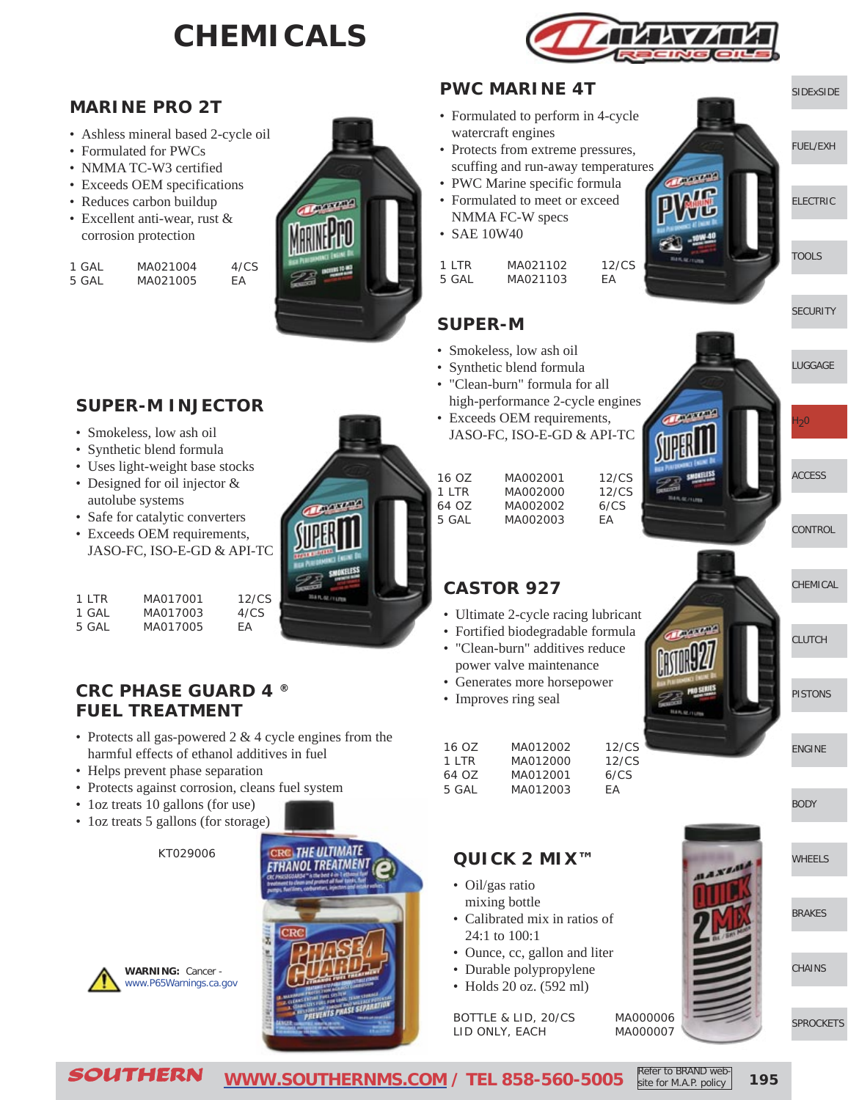# **CHEMICALS**



∩Π≞

#### **MARINE PRO 2T**

- Ashless mineral based 2-cycle oil
- Formulated for PWCs
- NMMA TC-W3 certified
- Exceeds OEM specifications
- Reduces carbon buildup
- Excellent anti-wear, rust & corrosion protection

| 1 GAI | MA021004 | 4/CS |
|-------|----------|------|
| 5 GAL | MA021005 | FA   |



## **SUPER-M INJECTOR**

- Smokeless, low ash oil
- Synthetic blend formula
- Uses light-weight base stocks
- Designed for oil injector & autolube systems
- Safe for catalytic converters
- Exceeds OEM requirements, JASO-FC, ISO-E-GD & API-TC

| $1$ I TR | MA017001 | 12/CS |
|----------|----------|-------|
| 1 GAL    | MA017003 | 4/CS  |
| 5 GAL    | MA017005 | FА    |

#### **CRC PHASE GUARD 4 ® FUEL TREATMENT**

- Protects all gas-powered 2 & 4 cycle engines from the harmful effects of ethanol additives in fuel
- Helps prevent phase separation
- Protects against corrosion, cleans fuel system
- 1oz treats 10 gallons (for use)
- loz treats 5 gallons (for storage)

**WARNING:** Cancer [www.P65Warnings.ca.gov](http://www.P65Warnings.ca.gov)

KT029006



#### **PWC MARINE 4T**

- Formulated to perform in 4-cycle watercraft engines
- Protects from extreme pressures, scuffing and run-away temperatures
- PWC Marine specific formula
- Formulated to meet or exceed NMMA FC-W specs
- SAE 10W40

| $1$ I TR | MA021102 | 12/CS |
|----------|----------|-------|
| 5 GAL    | MA021103 | FA    |

### **SUPER-M**

- Smokeless, low ash oil
- Synthetic blend formula
- "Clean-burn" formula for all high-performance 2-cycle eng
- Exceeds OEM requirements, JASO-FC, ISO-E-GD & API-

| high-performance 2-cycle engines<br>• Exceeds OEM requirements,<br>JASO-FC, ISO-E-GD & API-TC |          |       |  |  |
|-----------------------------------------------------------------------------------------------|----------|-------|--|--|
|                                                                                               |          |       |  |  |
| 16 OZ                                                                                         | MA002001 | 12/CS |  |  |
| $1$ I TR                                                                                      | MA002000 | 12/CS |  |  |
| 64 OZ                                                                                         | MA002002 | 6/CS  |  |  |
| 5 GAL                                                                                         | MA002003 | FА    |  |  |

**[CONTROL](http://www.southernms.com/wp-content/uploads/2015/08/09_controls.pdf)** 

[ACCESS](http://www.southernms.com/wp-content/uploads/2015/08/08_accessories.pdf)

[LUGGAGE](http://www.southernms.com/wp-content/uploads/2015/08/06_lugg.pdf)

 $H<sub>2</sub>0$ 

**[SECURITY](http://www.southernms.com/wp-content/uploads/2015/08/05_locks.pdf)** 

[SIDExSIDE](http://www.southernms.com/wp-content/uploads/2015/08/01_UTV.pdf)

[ELECTRIC](http://www.southernms.com/wp-content/uploads/2015/08/03_electrical.pdf)

[TOOLS](http://www.southernms.com/wp-content/uploads/2015/08/04_tools.pdf)

[FUEL/EXH](http://www.southernms.com/wp-content/uploads/2015/08/02_fuel_exh.pdf)



[PISTONS](http://www.southernms.com/wp-content/uploads/2015/08/12_pistons.pdf)

[ENGINE](http://www.southernms.com/wp-content/uploads/2015/08/13_engine.pdf)

[CLUTCH](http://www.southernms.com/wp-content/uploads/2015/08/11_clutch.pdf)

- Ultimate 2-cycle racing lubricant
- Fortified biodegradable formula
- "Clean-burn" additives reduce power valve maintenance
- Generates more horsepower
- Improves ring seal

**CASTOR 927**

| 16 OZ    | MA012002 | 12/CS |
|----------|----------|-------|
| $1$ I TR | MA012000 | 12/CS |
| 64 OZ    | MA012001 | 6/CS  |
| 5 GAL    | MA012003 | FА    |

#### **QUICK 2 MIX™**

- Oil/gas ratio mixing bottle
- Calibrated mix in ratios of 24:1 to 100:1
- Ounce, cc, gallon and liter
- Durable polypropylene
- Holds 20 oz. (592 ml)

BOTTLE & LID, 20/CS MA000006 LID ONLY, EACH MA000007





[SPROCKETS](http://www.southernms.com/wp-content/uploads/2015/08/18_sprockets.pdf)

**[CHAINS](http://www.southernms.com/wp-content/uploads/2015/08/17_chains.pdf)** 



**195**

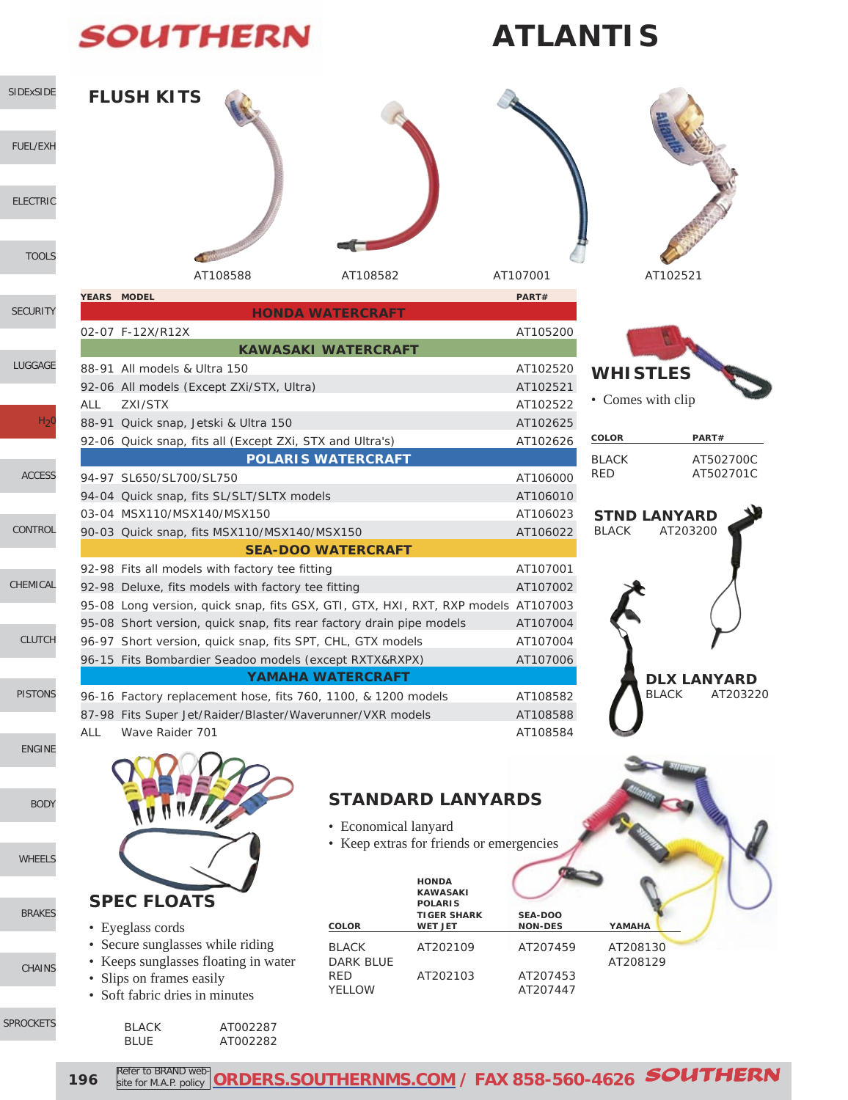# **SOUTHERN**

[LUGGAGE](http://www.southernms.com/wp-content/uploads/2015/08/06_lugg.pdf)

 $H<sub>2</sub>$ 

[ACCESS](http://www.southernms.com/wp-content/uploads/2015/08/08_accessories.pdf)

[CONTROL](http://www.southernms.com/wp-content/uploads/2015/08/09_controls.pdf)

[CHEMICAL](http://www.southernms.com/wp-content/uploads/2015/08/10_chemicals.pdf)

[PISTONS](http://www.southernms.com/wp-content/uploads/2015/08/12_pistons.pdf)

[ENGINE](http://www.southernms.com/wp-content/uploads/2015/08/13_engine.pdf)

[BODY](http://www.southernms.com/wp-content/uploads/2015/08/14_body.pdf)

[WHEELS](http://www.southernms.com/wp-content/uploads/2015/08/15_wheel.pdf)

[CHAINS](http://www.southernms.com/wp-content/uploads/2015/08/17_chains.pdf)

[BRAKES](http://www.southernms.com/wp-content/uploads/2015/08/16_brakes.pdf)

SPROCK

[CLUTCH](http://www.southernms.com/wp-content/uploads/2015/08/11_clutch.pdf)

# **ATLANTIS**







| COLOR  | PART#     |
|--------|-----------|
| BI ACK | AT502700C |
| RFD    | AT502701C |



|            | 02-07 F-12X/R12X                                                                  | AT105200 |
|------------|-----------------------------------------------------------------------------------|----------|
|            | <b>KAWASAKI WATERCRAFT</b>                                                        |          |
|            | 88-91 All models & Ultra 150                                                      | AT102520 |
|            | 92-06 All models (Except ZXi/STX, Ultra)                                          | AT102521 |
| <b>ALL</b> | 7XI/STX                                                                           | AT102522 |
|            | 88-91 Quick snap, Jetski & Ultra 150                                              | AT102625 |
|            | 92-06 Quick snap, fits all (Except ZXi, STX and Ultra's)                          | AT102626 |
|            | <b>POLARIS WATERCRAFT</b>                                                         |          |
|            | 94-97 SL650/SL700/SL750                                                           | AT106000 |
|            | 94-04 Quick snap, fits SL/SLT/SLTX models                                         | AT106010 |
|            | 03-04 MSX110/MSX140/MSX150                                                        | AT106023 |
|            | 90-03 Quick snap, fits MSX110/MSX140/MSX150                                       | AT106022 |
|            | <b>SEA-DOO WATERCRAFT</b>                                                         |          |
|            | 92-98 Fits all models with factory tee fitting                                    | AT107001 |
|            | 92-98 Deluxe, fits models with factory tee fitting                                | AT107002 |
|            | 95-08 Long version, quick snap, fits GSX, GTI, GTX, HXI, RXT, RXP models AT107003 |          |
|            | 95-08 Short version, quick snap, fits rear factory drain pipe models              | AT107004 |
|            | 96-97 Short version, quick snap, fits SPT, CHL, GTX models                        | AT107004 |
|            | 96-15 Fits Bombardier Seadoo models (except RXTX&RXPX)                            | AT107006 |
|            | <b>YAMAHA WATERCRAFT</b>                                                          |          |
|            | 96-16 Factory replacement hose, fits 760, 1100, & 1200 models                     | AT108582 |
|            | 87-98 Fits Super Jet/Raider/Blaster/Waverunner/VXR models                         | AT108588 |
| ALL        | Wave Raider 701                                                                   | AT108584 |

## **STANDARD LANYARDS**

- Economical lanyard
- Keep extras for friends or emergencies

| <b>SPEC FLOATS</b>                   |                  | <b>HONDA</b><br><b>KAWASAKI</b><br><b>POLARIS</b><br><b>TIGER SHARK</b> | <b>SEA-DOO</b> |          |  |
|--------------------------------------|------------------|-------------------------------------------------------------------------|----------------|----------|--|
| • Eyeglass cords                     | <b>COLOR</b>     | <b>WET JET</b>                                                          | <b>NON-DES</b> | YAMAHA   |  |
| • Secure sunglasses while riding     | <b>BLACK</b>     | AT202109                                                                | AT207459       | AT208130 |  |
| • Keeps sunglasses floating in water | <b>DARK BLUE</b> |                                                                         |                | AT208129 |  |
| • Slips on frames easily             | RED              | AT202103                                                                | AT207453       |          |  |
| • Soft fabric dries in minutes       | <b>YELLOW</b>    |                                                                         | AT207447       |          |  |

| EIS. | <b>BLACK</b> | AT002287 |
|------|--------------|----------|
|      | <b>BLUE</b>  | AT002282 |
|      |              |          |

| s easily             | <b>RED</b> | AT202103 | AT207453 |
|----------------------|------------|----------|----------|
| s in minutes         | YELLOW     |          | AT207447 |
| AT002287<br>AT002282 |            |          |          |

site for M.A.P. policy